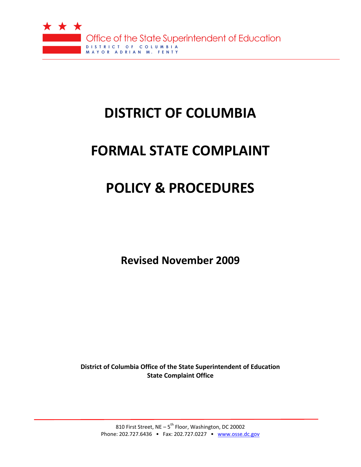

# **DISTRICT OF COLUMBIA**

# **FORMAL STATE COMPLAINT**

# **POLICY & PROCEDURES**

**Revised November 2009**

**District of Columbia Office of the State Superintendent of Education State Complaint Office**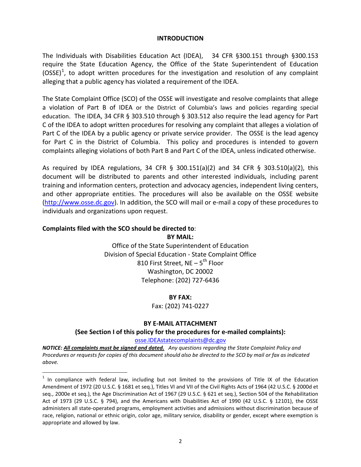#### **INTRODUCTION**

The Individuals with Disabilities Education Act (IDEA), 34 CFR §300.151 through §300.153 require the State Education Agency, the Office of the State Superintendent of Education (OSSE)<sup>[1](#page-1-0)</sup>, to adopt written procedures for the investigation and resolution of any complaint alleging that a public agency has violated a requirement of the IDEA.

The State Complaint Office (SCO) of the OSSE will investigate and resolve complaints that allege a violation of Part B of IDEA or the District of Columbia's laws and policies regarding special education. The IDEA, 34 CFR § 303.510 through § 303.512 also require the lead agency for Part C of the IDEA to adopt written procedures for resolving any complaint that alleges a violation of Part C of the IDEA by a public agency or private service provider. The OSSE is the lead agency for Part C in the District of Columbia. This policy and procedures is intended to govern complaints alleging violations of both Part B and Part C of the IDEA, unless indicated otherwise.

As required by IDEA regulations, 34 CFR § 300.151(a)(2) and 34 CFR § 303.510(a)(2), this document will be distributed to parents and other interested individuals, including parent training and information centers, protection and advocacy agencies, independent living centers, and other appropriate entities. The procedures will also be available on the OSSE website ([http://www.osse.dc.gov\)](http://www.osse.dc.gov/). In addition, the SCO will mail or e-mail a copy of these procedures to individuals and organizations upon request.

# **Complaints filed with the SCO should be directed to**:

**BY MAIL:** Office of the State Superintendent of Education Division of Special Education - State Complaint Office

810 First Street, NE  $-5^{th}$  Floor Washington, DC 20002 Telephone: (202) 727-6436

## **BY FAX:**

Fax: (202) 741-0227

# **BY E-MAIL ATTACHMENT**

## **(See Section I of this policy for the procedures for e-mailed complaints):**

[osse.IDEAstatecomplaints@dc.gov](mailto:osse.IDEAstatecomplaints@dc.gov)

*NOTICE: All complaints must be signed and dated. Any questions regarding the State Complaint Policy and Procedures or requests for copies of this document should also be directed to the SCO by mail or fax as indicated above.*

<span id="page-1-0"></span> $1$  In compliance with federal law, including but not limited to the provisions of Title IX of the Education Amendment of 1972 (20 U.S.C. § 1681 et seq.), Titles VI and VII of the Civil Rights Acts of 1964 (42 U.S.C. § 2000d et seq., 2000e et seq.), the Age Discrimination Act of 1967 (29 U.S.C. § 621 et seq.), Section 504 of the Rehabilitation Act of 1973 (29 U.S.C. § 794), and the Americans with Disabilities Act of 1990 (42 U.S.C. § 12101), the OSSE administers all state-operated programs, employment activities and admissions without discrimination because of race, religion, national or ethnic origin, color age, military service, disability or gender, except where exemption is appropriate and allowed by law.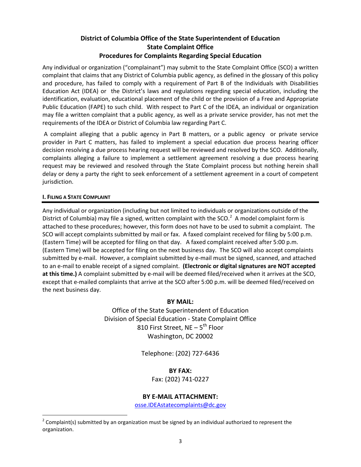# **District of Columbia Office of the State Superintendent of Education State Complaint Office Procedures for Complaints Regarding Special Education**

Any individual or organization ("complainant") may submit to the State Complaint Office (SCO) a written complaint that claims that any District of Columbia public agency, as defined in the glossary of this policy and procedure, has failed to comply with a requirement of Part B of the Individuals with Disabilities Education Act (IDEA) or the District's laws and regulations regarding special education, including the identification, evaluation, educational placement of the child or the provision of a Free and Appropriate Public Education (FAPE) to such child. With respect to Part C of the IDEA, an individual or organization may file a written complaint that a public agency, as well as a private service provider, has not met the requirements of the IDEA or District of Columbia law regarding Part C.

A complaint alleging that a public agency in Part B matters, or a public agency or private service provider in Part C matters, has failed to implement a special education due process hearing officer decision resolving a due process hearing request will be reviewed and resolved by the SCO. Additionally, complaints alleging a failure to implement a settlement agreement resolving a due process hearing request may be reviewed and resolved through the State Complaint process but nothing herein shall delay or deny a party the right to seek enforcement of a settlement agreement in a court of competent jurisdiction.

#### **I. FILING A STATE COMPLAINT**

Any individual or organization (including but not limited to individuals or organizations outside of the District of Columbia) may file a signed, written complaint with the SCO. $^2$  $^2$  A model complaint form is attached to these procedures; however, this form does not have to be used to submit a complaint. The SCO will accept complaints submitted by mail or fax. A faxed complaint received for filing by 5:00 p.m. (Eastern Time) will be accepted for filing on that day. A faxed complaint received after 5:00 p.m. (Eastern Time) will be accepted for filing on the next business day. The SCO will also accept complaints submitted by e-mail. However, a complaint submitted by e-mail must be signed, scanned, and attached to an e-mail to enable receipt of a signed complaint. **(Electronic or digital signatures are NOT accepted at this time.)** A complaint submitted by e-mail will be deemed filed/received when it arrives at the SCO, except that e-mailed complaints that arrive at the SCO after 5:00 p.m. will be deemed filed/received on the next business day.

## **BY MAIL:**

Office of the State Superintendent of Education Division of Special Education - State Complaint Office 810 First Street, NE  $-5^{th}$  Floor Washington, DC 20002

Telephone: (202) 727-6436

## **BY FAX:**

Fax: (202) 741-0227

# **BY E-MAIL ATTACHMENT:**

[osse.IDEAstatecomplaints@dc.gov](mailto:osse.IDEAstatecomplaints@dc.gov)

<span id="page-2-0"></span> $2^2$  Complaint(s) submitted by an organization must be signed by an individual authorized to represent the organization.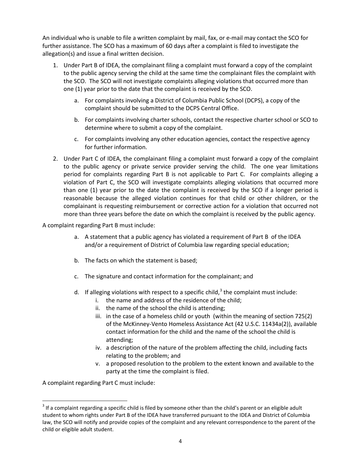An individual who is unable to file a written complaint by mail, fax, or e-mail may contact the SCO for further assistance. The SCO has a maximum of 60 days after a complaint is filed to investigate the allegation(s) and issue a final written decision.

- 1. Under Part B of IDEA, the complainant filing a complaint must forward a copy of the complaint to the public agency serving the child at the same time the complainant files the complaint with the SCO. The SCO will not investigate complaints alleging violations that occurred more than one (1) year prior to the date that the complaint is received by the SCO.
	- a. For complaints involving a District of Columbia Public School (DCPS), a copy of the complaint should be submitted to the DCPS Central Office.
	- b. For complaints involving charter schools, contact the respective charter school or SCO to determine where to submit a copy of the complaint.
	- c. For complaints involving any other education agencies, contact the respective agency for further information.
- 2. Under Part C of IDEA, the complainant filing a complaint must forward a copy of the complaint to the public agency or private service provider serving the child. The one year limitations period for complaints regarding Part B is not applicable to Part C. For complaints alleging a violation of Part C, the SCO will investigate complaints alleging violations that occurred more than one (1) year prior to the date the complaint is received by the SCO if a longer period is reasonable because the alleged violation continues for that child or other children, or the complainant is requesting reimbursement or corrective action for a violation that occurred not more than three years before the date on which the complaint is received by the public agency.

A complaint regarding Part B must include:

- a. A statement that a public agency has violated a requirement of Part B of the IDEA and/or a requirement of District of Columbia law regarding special education;
- b. The facts on which the statement is based;
- c. The signature and contact information for the complainant; and
- d. If alleging violations with respect to a specific child,  $3$  the complaint must include:
	- i. the name and address of the residence of the child;
	- ii. the name of the school the child is attending;
	- iii. in the case of a homeless child or youth (within the meaning of section 725(2) of the McKinney-Vento Homeless Assistance Act (42 U.S.C. 11434a(2)), available contact information for the child and the name of the school the child is attending;
	- iv. a description of the nature of the problem affecting the child, including facts relating to the problem; and
	- v. a proposed resolution to the problem to the extent known and available to the party at the time the complaint is filed.

A complaint regarding Part C must include:

<span id="page-3-0"></span> $3$  If a complaint regarding a specific child is filed by someone other than the child's parent or an eligible adult student to whom rights under Part B of the IDEA have transferred pursuant to the IDEA and District of Columbia law, the SCO will notify and provide copies of the complaint and any relevant correspondence to the parent of the child or eligible adult student.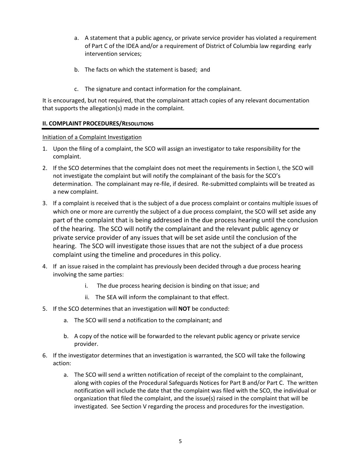- a. A statement that a public agency, or private service provider has violated a requirement of Part C of the IDEA and/or a requirement of District of Columbia law regarding early intervention services;
- b. The facts on which the statement is based; and
- c. The signature and contact information for the complainant.

It is encouraged, but not required, that the complainant attach copies of any relevant documentation that supports the allegation(s) made in the complaint.

## **II. COMPLAINT PROCEDURES/RESOLUTIONS**

## Initiation of a Complaint Investigation

- 1. Upon the filing of a complaint, the SCO will assign an investigator to take responsibility for the complaint.
- 2. If the SCO determines that the complaint does not meet the requirements in Section I, the SCO will not investigate the complaint but will notify the complainant of the basis for the SCO's determination. The complainant may re-file, if desired. Re-submitted complaints will be treated as a new complaint.
- 3. If a complaint is received that is the subject of a due process complaint or contains multiple issues of which one or more are currently the subject of a due process complaint, the SCO will set aside any part of the complaint that is being addressed in the due process hearing until the conclusion of the hearing. The SCO will notify the complainant and the relevant public agency or private service provider of any issues that will be set aside until the conclusion of the hearing. The SCO will investigate those issues that are not the subject of a due process complaint using the timeline and procedures in this policy.
- 4. If an issue raised in the complaint has previously been decided through a due process hearing involving the same parties:
	- i. The due process hearing decision is binding on that issue; and
	- ii. The SEA will inform the complainant to that effect.
- 5. If the SCO determines that an investigation will **NOT** be conducted:
	- a. The SCO will send a notification to the complainant; and
	- b. A copy of the notice will be forwarded to the relevant public agency or private service provider.
- 6. If the investigator determines that an investigation is warranted, the SCO will take the following action:
	- a. The SCO will send a written notification of receipt of the complaint to the complainant, along with copies of the Procedural Safeguards Notices for Part B and/or Part C. The written notification will include the date that the complaint was filed with the SCO, the individual or organization that filed the complaint, and the issue(s) raised in the complaint that will be investigated. See Section V regarding the process and procedures for the investigation.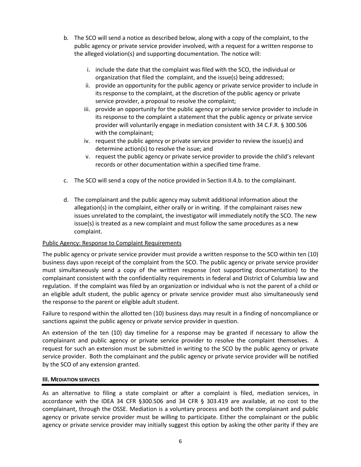- b. The SCO will send a notice as described below, along with a copy of the complaint, to the public agency or private service provider involved, with a request for a written response to the alleged violation(s) and supporting documentation. The notice will:
	- i. include the date that the complaint was filed with the SCO, the individual or organization that filed the complaint, and the issue(s) being addressed;
	- ii. provide an opportunity for the public agency or private service provider to include in its response to the complaint, at the discretion of the public agency or private service provider, a proposal to resolve the complaint;
	- iii. provide an opportunity for the public agency or private service provider to include in its response to the complaint a statement that the public agency or private service provider will voluntarily engage in mediation consistent with 34 C.F.R. § 300.506 with the complainant;
	- iv. request the public agency or private service provider to review the issue(s) and determine action(s) to resolve the issue; and
	- v. request the public agency or private service provider to provide the child's relevant records or other documentation within a specified time frame.
- c. The SCO will send a copy of the notice provided in Section II.4.b. to the complainant.
- d. The complainant and the public agency may submit additional information about the allegation(s) in the complaint, either orally or in writing. If the complainant raises new issues unrelated to the complaint, the investigator will immediately notify the SCO. The new issue(s) is treated as a new complaint and must follow the same procedures as a new complaint.

## Public Agency: Response to Complaint Requirements

The public agency or private service provider must provide a written response to the SCO within ten (10) business days upon receipt of the complaint from the SCO. The public agency or private service provider must simultaneously send a copy of the written response (not supporting documentation) to the complainant consistent with the confidentiality requirements in federal and District of Columbia law and regulation. If the complaint was filed by an organization or individual who is not the parent of a child or an eligible adult student, the public agency or private service provider must also simultaneously send the response to the parent or eligible adult student.

Failure to respond within the allotted ten (10) business days may result in a finding of noncompliance or sanctions against the public agency or private service provider in question.

An extension of the ten (10) day timeline for a response may be granted if necessary to allow the complainant and public agency or private service provider to resolve the complaint themselves. A request for such an extension must be submitted in writing to the SCO by the public agency or private service provider. Both the complainant and the public agency or private service provider will be notified by the SCO of any extension granted.

# **III. MEDIATION SERVICES**

As an alternative to filing a state complaint or after a complaint is filed, mediation services, in accordance with the IDEA 34 CFR §300.506 and 34 CFR § 303.419 are available, at no cost to the complainant, through the OSSE. Mediation is a voluntary process and both the complainant and public agency or private service provider must be willing to participate. Either the complainant or the public agency or private service provider may initially suggest this option by asking the other parity if they are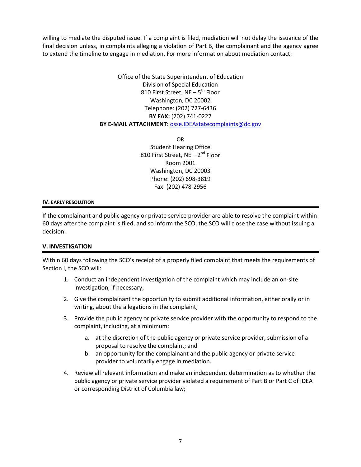willing to mediate the disputed issue. If a complaint is filed, mediation will not delay the issuance of the final decision unless, in complaints alleging a violation of Part B, the complainant and the agency agree to extend the timeline to engage in mediation. For more information about mediation contact:

# Office of the State Superintendent of Education Division of Special Education 810 First Street,  $NE - 5^{th}$  Floor Washington, DC 20002 Telephone: (202) 727-6436 **BY FAX:** (202) 741-0227 **BY E-MAIL ATTACHMENT:** [osse.IDEAstatecomplaints@dc.gov](mailto:osse.IDEAstatecomplaints@dc.gov)

OR Student Hearing Office 810 First Street,  $NE - 2^{nd}$  Floor Room 2001 Washington, DC 20003 Phone: (202) 698-3819 Fax: (202) 478-2956

#### **IV. EARLY RESOLUTION**

If the complainant and public agency or private service provider are able to resolve the complaint within 60 days after the complaint is filed, and so inform the SCO, the SCO will close the case without issuing a decision.

## **V. INVESTIGATION**

Within 60 days following the SCO's receipt of a properly filed complaint that meets the requirements of Section I, the SCO will:

- 1. Conduct an independent investigation of the complaint which may include an on-site investigation, if necessary;
- 2. Give the complainant the opportunity to submit additional information, either orally or in writing, about the allegations in the complaint;
- 3. Provide the public agency or private service provider with the opportunity to respond to the complaint, including, at a minimum:
	- a. at the discretion of the public agency or private service provider, submission of a proposal to resolve the complaint; and
	- b. an opportunity for the complainant and the public agency or private service provider to voluntarily engage in mediation.
- 4. Review all relevant information and make an independent determination as to whether the public agency or private service provider violated a requirement of Part B or Part C of IDEA or corresponding District of Columbia law;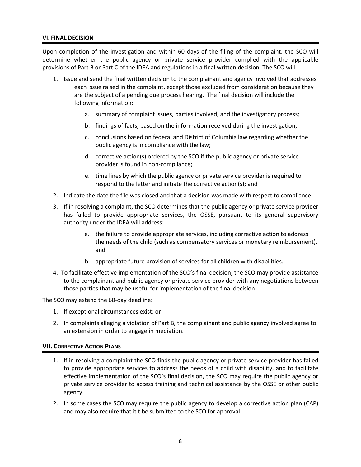#### **VI. FINAL DECISION**

Upon completion of the investigation and within 60 days of the filing of the complaint, the SCO will determine whether the public agency or private service provider complied with the applicable provisions of Part B or Part C of the IDEA and regulations in a final written decision. The SCO will:

- 1. Issue and send the final written decision to the complainant and agency involved that addresses each issue raised in the complaint, except those excluded from consideration because they are the subject of a pending due process hearing. The final decision will include the following information:
	- a. summary of complaint issues, parties involved, and the investigatory process;
	- b. findings of facts, based on the information received during the investigation;
	- c. conclusions based on federal and District of Columbia law regarding whether the public agency is in compliance with the law;
	- d. corrective action(s) ordered by the SCO if the public agency or private service provider is found in non-compliance;
	- e. time lines by which the public agency or private service provider is required to respond to the letter and initiate the corrective action(s); and
- 2. Indicate the date the file was closed and that a decision was made with respect to compliance.
- 3. If in resolving a complaint, the SCO determines that the public agency or private service provider has failed to provide appropriate services, the OSSE, pursuant to its general supervisory authority under the IDEA will address:
	- a. the failure to provide appropriate services, including corrective action to address the needs of the child (such as compensatory services or monetary reimbursement), and
	- b. appropriate future provision of services for all children with disabilities.
- 4. To facilitate effective implementation of the SCO's final decision, the SCO may provide assistance to the complainant and public agency or private service provider with any negotiations between those parties that may be useful for implementation of the final decision.

#### The SCO may extend the 60-day deadline:

- 1. If exceptional circumstances exist; or
- 2. In complaints alleging a violation of Part B, the complainant and public agency involved agree to an extension in order to engage in mediation.

#### **VII. CORRECTIVE ACTION PLANS**

- 1. If in resolving a complaint the SCO finds the public agency or private service provider has failed to provide appropriate services to address the needs of a child with disability, and to facilitate effective implementation of the SCO's final decision, the SCO may require the public agency or private service provider to access training and technical assistance by the OSSE or other public agency.
- 2. In some cases the SCO may require the public agency to develop a corrective action plan (CAP) and may also require that it t be submitted to the SCO for approval.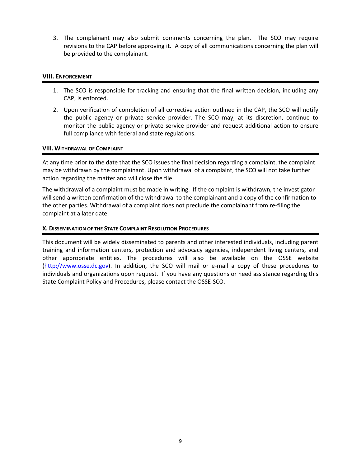3. The complainant may also submit comments concerning the plan. The SCO may require revisions to the CAP before approving it. A copy of all communications concerning the plan will be provided to the complainant.

#### **VIII. ENFORCEMENT**

- 1. The SCO is responsible for tracking and ensuring that the final written decision, including any CAP, is enforced.
- 2. Upon verification of completion of all corrective action outlined in the CAP, the SCO will notify the public agency or private service provider. The SCO may, at its discretion, continue to monitor the public agency or private service provider and request additional action to ensure full compliance with federal and state regulations.

#### **VIII. WITHDRAWAL OF COMPLAINT**

At any time prior to the date that the SCO issues the final decision regarding a complaint, the complaint may be withdrawn by the complainant. Upon withdrawal of a complaint, the SCO will not take further action regarding the matter and will close the file.

The withdrawal of a complaint must be made in writing. If the complaint is withdrawn, the investigator will send a written confirmation of the withdrawal to the complainant and a copy of the confirmation to the other parties. Withdrawal of a complaint does not preclude the complainant from re-filing the complaint at a later date.

#### **X. DISSEMINATION OF THE STATE COMPLAINT RESOLUTION PROCEDURES**

This document will be widely disseminated to parents and other interested individuals, including parent training and information centers, protection and advocacy agencies, independent living centers, and other appropriate entities. The procedures will also be available on the OSSE website [\(http://www.osse.dc.gov\)](http://www.osse.dc.gov/). In addition, the SCO will mail or e-mail a copy of these procedures to individuals and organizations upon request. If you have any questions or need assistance regarding this State Complaint Policy and Procedures, please contact the OSSE-SCO.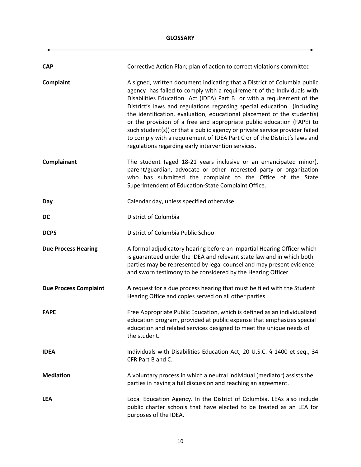## **GLOSSARY**

٠

| <b>CAP</b>                   | Corrective Action Plan; plan of action to correct violations committed                                                                                                                                                                                                                                                                                                                                                                                                                                                                                                                                                                                                      |
|------------------------------|-----------------------------------------------------------------------------------------------------------------------------------------------------------------------------------------------------------------------------------------------------------------------------------------------------------------------------------------------------------------------------------------------------------------------------------------------------------------------------------------------------------------------------------------------------------------------------------------------------------------------------------------------------------------------------|
| Complaint                    | A signed, written document indicating that a District of Columbia public<br>agency has failed to comply with a requirement of the Individuals with<br>Disabilities Education Act (IDEA) Part B or with a requirement of the<br>District's laws and regulations regarding special education (including<br>the identification, evaluation, educational placement of the student(s)<br>or the provision of a free and appropriate public education (FAPE) to<br>such student(s)) or that a public agency or private service provider failed<br>to comply with a requirement of IDEA Part C or of the District's laws and<br>regulations regarding early intervention services. |
| Complainant                  | The student (aged 18-21 years inclusive or an emancipated minor),<br>parent/guardian, advocate or other interested party or organization<br>who has submitted the complaint to the Office of the State<br>Superintendent of Education-State Complaint Office.                                                                                                                                                                                                                                                                                                                                                                                                               |
| Day                          | Calendar day, unless specified otherwise                                                                                                                                                                                                                                                                                                                                                                                                                                                                                                                                                                                                                                    |
| <b>DC</b>                    | District of Columbia                                                                                                                                                                                                                                                                                                                                                                                                                                                                                                                                                                                                                                                        |
| <b>DCPS</b>                  | District of Columbia Public School                                                                                                                                                                                                                                                                                                                                                                                                                                                                                                                                                                                                                                          |
| <b>Due Process Hearing</b>   | A formal adjudicatory hearing before an impartial Hearing Officer which<br>is guaranteed under the IDEA and relevant state law and in which both<br>parties may be represented by legal counsel and may present evidence<br>and sworn testimony to be considered by the Hearing Officer.                                                                                                                                                                                                                                                                                                                                                                                    |
| <b>Due Process Complaint</b> | A request for a due process hearing that must be filed with the Student<br>Hearing Office and copies served on all other parties.                                                                                                                                                                                                                                                                                                                                                                                                                                                                                                                                           |
| <b>FAPE</b>                  | Free Appropriate Public Education, which is defined as an individualized<br>education program, provided at public expense that emphasizes special<br>education and related services designed to meet the unique needs of<br>the student.                                                                                                                                                                                                                                                                                                                                                                                                                                    |
| <b>IDEA</b>                  | Individuals with Disabilities Education Act, 20 U.S.C. § 1400 et seq., 34<br>CFR Part B and C.                                                                                                                                                                                                                                                                                                                                                                                                                                                                                                                                                                              |
| <b>Mediation</b>             | A voluntary process in which a neutral individual (mediator) assists the<br>parties in having a full discussion and reaching an agreement.                                                                                                                                                                                                                                                                                                                                                                                                                                                                                                                                  |
| <b>LEA</b>                   | Local Education Agency. In the District of Columbia, LEAs also include<br>public charter schools that have elected to be treated as an LEA for<br>purposes of the IDEA.                                                                                                                                                                                                                                                                                                                                                                                                                                                                                                     |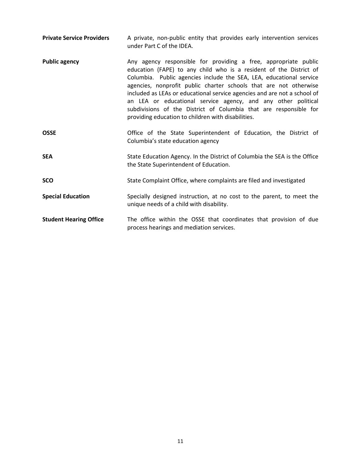| <b>Private Service Providers</b> | A private, non-public entity that provides early intervention services<br>under Part C of the IDEA.                                                                                                                                                                                                                                                                                                                                                                                                                                                       |
|----------------------------------|-----------------------------------------------------------------------------------------------------------------------------------------------------------------------------------------------------------------------------------------------------------------------------------------------------------------------------------------------------------------------------------------------------------------------------------------------------------------------------------------------------------------------------------------------------------|
| <b>Public agency</b>             | Any agency responsible for providing a free, appropriate public<br>education (FAPE) to any child who is a resident of the District of<br>Columbia. Public agencies include the SEA, LEA, educational service<br>agencies, nonprofit public charter schools that are not otherwise<br>included as LEAs or educational service agencies and are not a school of<br>an LEA or educational service agency, and any other political<br>subdivisions of the District of Columbia that are responsible for<br>providing education to children with disabilities. |
| <b>OSSE</b>                      | Office of the State Superintendent of Education, the District of<br>Columbia's state education agency                                                                                                                                                                                                                                                                                                                                                                                                                                                     |
| <b>SEA</b>                       | State Education Agency. In the District of Columbia the SEA is the Office<br>the State Superintendent of Education.                                                                                                                                                                                                                                                                                                                                                                                                                                       |
| <b>SCO</b>                       | State Complaint Office, where complaints are filed and investigated                                                                                                                                                                                                                                                                                                                                                                                                                                                                                       |
| <b>Special Education</b>         | Specially designed instruction, at no cost to the parent, to meet the<br>unique needs of a child with disability.                                                                                                                                                                                                                                                                                                                                                                                                                                         |
| <b>Student Hearing Office</b>    | The office within the OSSE that coordinates that provision of due<br>process hearings and mediation services.                                                                                                                                                                                                                                                                                                                                                                                                                                             |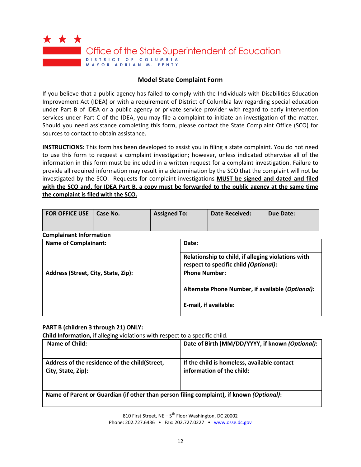

## **Model State Complaint Form**

If you believe that a public agency has failed to comply with the Individuals with Disabilities Education Improvement Act (IDEA) or with a requirement of District of Columbia law regarding special education under Part B of IDEA or a public agency or private service provider with regard to early intervention services under Part C of the IDEA, you may file a complaint to initiate an investigation of the matter. Should you need assistance completing this form, please contact the State Complaint Office (SCO) for sources to contact to obtain assistance.

**INSTRUCTIONS:** This form has been developed to assist you in filing a state complaint. You do not need to use this form to request a complaint investigation; however, unless indicated otherwise all of the information in this form must be included in a written request for a complaint investigation. Failure to provide all required information may result in a determination by the SCO that the complaint will not be investigated by the SCO. Requests for complaint investigations **MUST be signed and dated and filed with the SCO and, for IDEA Part B, a copy must be forwarded to the public agency at the same time the complaint is filed with the SCO .**

| <b>FOR OFFICE USE</b> | Case No. | <b>Assigned To:</b> | <b>Date Received:</b> | Due Date: |
|-----------------------|----------|---------------------|-----------------------|-----------|
|                       |          |                     |                       |           |

**Complainant Information**

| <b>Name of Complainant:</b>         | Date:                                                                                       |  |
|-------------------------------------|---------------------------------------------------------------------------------------------|--|
|                                     | Relationship to child, if alleging violations with<br>respect to specific child (Optional): |  |
| Address (Street, City, State, Zip): | <b>Phone Number:</b>                                                                        |  |
|                                     | Alternate Phone Number, if available (Optional):                                            |  |
|                                     | E-mail, if available:                                                                       |  |

## **PART B (children 3 through 21) ONLY:**

**Child Information,** if alleging violations with respect to a specific child.

| Name of Child:                                                                           | Date of Birth (MM/DD/YYYY, if known (Optional):                          |
|------------------------------------------------------------------------------------------|--------------------------------------------------------------------------|
| Address of the residence of the child(Street,<br>City, State, Zip):                      | If the child is homeless, available contact<br>information of the child: |
| Name of Parent or Guardian (if other than person filing complaint), if known (Optional): |                                                                          |

810 First Street, NE  $-5^{\text{th}}$  Floor Washington, DC 20002 Phone: 202.727.6436 • Fax: 202.727.0227 • [www.osse.dc.gov](http://www.osse.dc.gov/)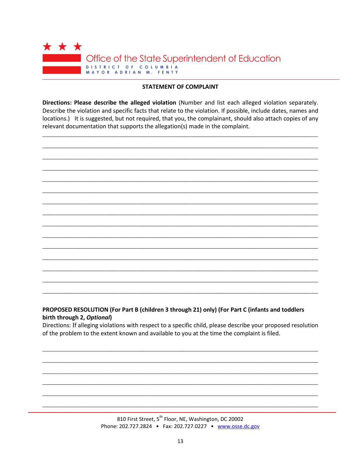

#### **STATEMENT OF COMPLAINT**

Directions: Please describe the alleged violation (Number and list each alleged violation separately. Describe the violation and specific facts that relate to the violation. If possible, include dates, names and locations.) It is suggested, but not required, that you, the complainant, should also attach copies of any relevant documentation that supports the allegation(s) made in the complaint.



# PROPOSED RESOLUTION (For Part B (children 3 through 21) only) (For Part C (infants and toddlers birth through 2, Optional)

Directions: If alleging violations with respect to a specific child, please describe your proposed resolution of the problem to the extent known and available to you at the time the complaint is filed.

> 810 First Street, 5<sup>th</sup> Floor, NE, Washington, DC 20002 Phone: 202.727.2824 • Fax: 202.727.0227 • www.osse.dc.gov